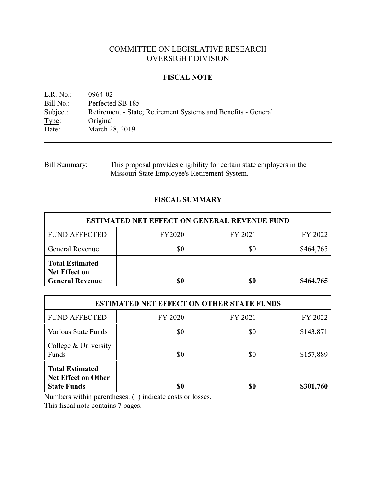# COMMITTEE ON LEGISLATIVE RESEARCH OVERSIGHT DIVISION

## **FISCAL NOTE**

<u>L.R. No.</u>: 0964-02<br>
<u>Bill No.</u>: Perfected Bill No.: Perfected SB 185<br>Subject: Retirement - State Retirement - State; Retirement Systems and Benefits - General Type: Original<br>Date: March 28 March 28, 2019

Bill Summary: This proposal provides eligibility for certain state employers in the Missouri State Employee's Retirement System.

# **FISCAL SUMMARY**

| <b>ESTIMATED NET EFFECT ON GENERAL REVENUE FUND</b>                      |               |         |           |  |
|--------------------------------------------------------------------------|---------------|---------|-----------|--|
| <b>FUND AFFECTED</b>                                                     | <b>FY2020</b> | FY 2021 | FY 2022   |  |
| <b>General Revenue</b>                                                   | \$0           | \$0     | \$464,765 |  |
| <b>Total Estimated</b><br><b>Net Effect on</b><br><b>General Revenue</b> | \$0           | \$0     | \$464,765 |  |

| <b>ESTIMATED NET EFFECT ON OTHER STATE FUNDS</b>                           |         |         |           |  |
|----------------------------------------------------------------------------|---------|---------|-----------|--|
| <b>FUND AFFECTED</b>                                                       | FY 2020 | FY 2021 | FY 2022   |  |
| Various State Funds                                                        | \$0     | \$0     | \$143,871 |  |
| College & University<br>Funds                                              | \$0     | \$0     | \$157,889 |  |
| <b>Total Estimated</b><br><b>Net Effect on Other</b><br><b>State Funds</b> | \$0     | \$0     | \$301,760 |  |

Numbers within parentheses: ( ) indicate costs or losses.

This fiscal note contains 7 pages.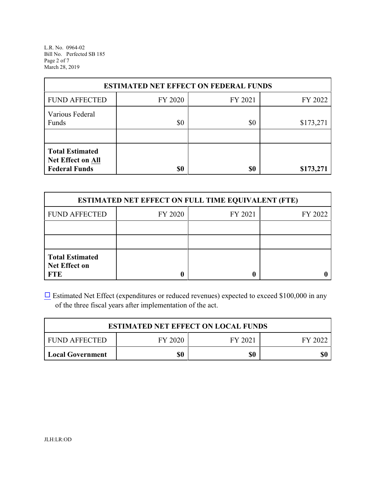L.R. No. 0964-02 Bill No. Perfected SB 185 Page 2 of 7 March 28, 2019

| <b>ESTIMATED NET EFFECT ON FEDERAL FUNDS</b>                               |         |         |           |  |
|----------------------------------------------------------------------------|---------|---------|-----------|--|
| <b>FUND AFFECTED</b>                                                       | FY 2020 | FY 2021 | FY 2022   |  |
| Various Federal<br>Funds                                                   | \$0     | \$0     | \$173,271 |  |
| <b>Total Estimated</b><br><b>Net Effect on All</b><br><b>Federal Funds</b> | \$0     | \$0     | \$173,271 |  |

| <b>ESTIMATED NET EFFECT ON FULL TIME EQUIVALENT (FTE)</b>    |         |         |         |  |
|--------------------------------------------------------------|---------|---------|---------|--|
| <b>FUND AFFECTED</b>                                         | FY 2020 | FY 2021 | FY 2022 |  |
|                                                              |         |         |         |  |
|                                                              |         |         |         |  |
| <b>Total Estimated</b><br><b>Net Effect on</b><br><b>FTE</b> |         |         |         |  |

[9](file:///|//checkbox.wcm) Estimated Net Effect (expenditures or reduced revenues) expected to exceed \$100,000 in any of the three fiscal years after implementation of the act.

| <b>ESTIMATED NET EFFECT ON LOCAL FUNDS</b> |         |         |         |  |
|--------------------------------------------|---------|---------|---------|--|
| I FUND AFFECTED                            | FY 2020 | FY 2021 | FY 2022 |  |
| Local Government                           | \$0     | \$0     |         |  |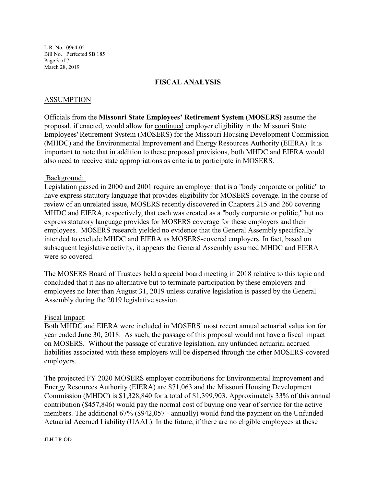L.R. No. 0964-02 Bill No. Perfected SB 185 Page 3 of 7 March 28, 2019

## **FISCAL ANALYSIS**

### ASSUMPTION

Officials from the **Missouri State Employees' Retirement System (MOSERS)** assume the proposal, if enacted, would allow for continued employer eligibility in the Missouri State Employees' Retirement System (MOSERS) for the Missouri Housing Development Commission (MHDC) and the Environmental Improvement and Energy Resources Authority (EIERA). It is important to note that in addition to these proposed provisions, both MHDC and EIERA would also need to receive state appropriations as criteria to participate in MOSERS.

### Background:

Legislation passed in 2000 and 2001 require an employer that is a "body corporate or politic" to have express statutory language that provides eligibility for MOSERS coverage. In the course of review of an unrelated issue, MOSERS recently discovered in Chapters 215 and 260 covering MHDC and EIERA, respectively, that each was created as a "body corporate or politic," but no express statutory language provides for MOSERS coverage for these employers and their employees. MOSERS research yielded no evidence that the General Assembly specifically intended to exclude MHDC and EIERA as MOSERS-covered employers. In fact, based on subsequent legislative activity, it appears the General Assembly assumed MHDC and EIERA were so covered.

The MOSERS Board of Trustees held a special board meeting in 2018 relative to this topic and concluded that it has no alternative but to terminate participation by these employers and employees no later than August 31, 2019 unless curative legislation is passed by the General Assembly during the 2019 legislative session.

#### Fiscal Impact:

Both MHDC and EIERA were included in MOSERS' most recent annual actuarial valuation for year ended June 30, 2018. As such, the passage of this proposal would not have a fiscal impact on MOSERS. Without the passage of curative legislation, any unfunded actuarial accrued liabilities associated with these employers will be dispersed through the other MOSERS-covered employers.

The projected FY 2020 MOSERS employer contributions for Environmental Improvement and Energy Resources Authority (EIERA) are \$71,063 and the Missouri Housing Development Commission (MHDC) is \$1,328,840 for a total of \$1,399,903. Approximately 33% of this annual contribution (\$457,846) would pay the normal cost of buying one year of service for the active members. The additional 67% (\$942,057 - annually) would fund the payment on the Unfunded Actuarial Accrued Liability (UAAL). In the future, if there are no eligible employees at these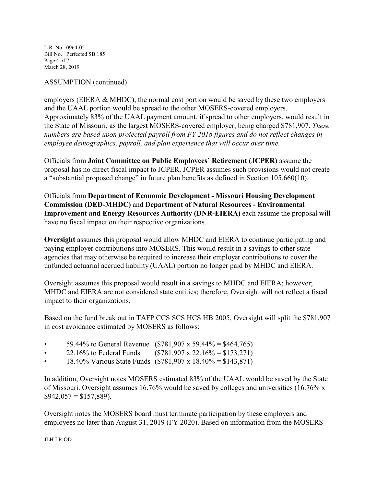L.R. No. 0964-02 Bill No. Perfected SB 185 Page 4 of 7 March 28, 2019

## ASSUMPTION (continued)

employers (EIERA & MHDC), the normal cost portion would be saved by these two employers and the UAAL portion would be spread to the other MOSERS-covered employers. Approximately 83% of the UAAL payment amount, if spread to other employers, would result in the State of Missouri, as the largest MOSERS-covered employer, being charged \$781,907. *These numbers are based upon projected payroll from FY 2018 figures and do not reflect changes in employee demographics, payroll, and plan experience that will occur over time.* 

Officials from **Joint Committee on Public Employees' Retirement (JCPER)** assume the proposal has no direct fiscal impact to JCPER. JCPER assumes such provisions would not create a "substantial proposed change" in future plan benefits as defined in Section 105.660(10).

Officials from **Department of Economic Development - Missouri Housing Development Commission (DED-MHDC)** and **Department of Natural Resources - Environmental Improvement and Energy Resources Authority (DNR-EIERA)** each assume the proposal will have no fiscal impact on their respective organizations.

**Oversight** assumes this proposal would allow MHDC and EIERA to continue participating and paying employer contributions into MOSERS. This would result in a savings to other state agencies that may otherwise be required to increase their employer contributions to cover the unfunded actuarial accrued liability (UAAL) portion no longer paid by MHDC and EIERA.

Oversight assumes this proposal would result in a savings to MHDC and EIERA; however; MHDC and EIERA are not considered state entities; therefore, Oversight will not reflect a fiscal impact to their organizations.

Based on the fund break out in TAFP CCS SCS HCS HB 2005, Oversight will split the \$781,907 in cost avoidance estimated by MOSERS as follows:

- 59.44% to General Revenue (\$781,907 x 59.44% = \$464,765)
- 22.16% to Federal Funds  $($781,907 \times 22.16\% = $173,271)$
- 18.40% Various State Funds  $(\$781,907 \times 18.40\% = \$143,871)$

In addition, Oversight notes MOSERS estimated 83% of the UAAL would be saved by the State of Missouri. Oversight assumes 16.76% would be saved by colleges and universities (16.76% x  $$942,057 = $157,889$ ).

Oversight notes the MOSERS board must terminate participation by these employers and employees no later than August 31, 2019 (FY 2020). Based on information from the MOSERS

JLH:LR:OD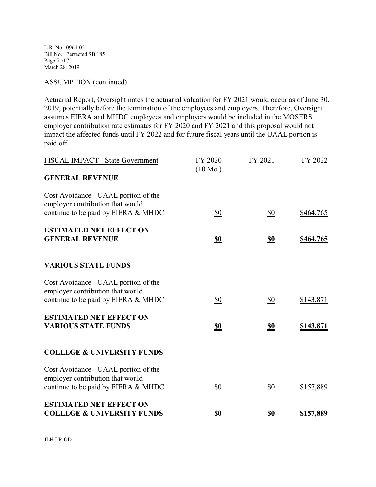L.R. No. 0964-02 Bill No. Perfected SB 185 Page 5 of 7 March 28, 2019

### ASSUMPTION (continued)

Actuarial Report, Oversight notes the actuarial valuation for FY 2021 would occur as of June 30, 2019, potentially before the termination of the employees and employers. Therefore, Oversight assumes EIERA and MHDC employees and employers would be included in the MOSERS employer contribution rate estimates for FY 2020 and FY 2021 and this proposal would not impact the affected funds until FY 2022 and for future fiscal years until the UAAL portion is paid off.

| FISCAL IMPACT - State Government                                         | FY 2020<br>$(10 \text{ Mo.})$ | FY 2021    | FY 2022          |
|--------------------------------------------------------------------------|-------------------------------|------------|------------------|
| <b>GENERAL REVENUE</b>                                                   |                               |            |                  |
| Cost Avoidance - UAAL portion of the<br>employer contribution that would |                               |            |                  |
| continue to be paid by EIERA & MHDC                                      | \$0                           | \$0        | \$464,765        |
| <b>ESTIMATED NET EFFECT ON</b>                                           |                               |            |                  |
| <b>GENERAL REVENUE</b>                                                   | <u>\$0</u>                    | <u>\$0</u> | \$464,765        |
| <b>VARIOUS STATE FUNDS</b>                                               |                               |            |                  |
| Cost Avoidance - UAAL portion of the<br>employer contribution that would |                               |            |                  |
| continue to be paid by EIERA & MHDC                                      | \$0                           | \$0        | \$143,871        |
| <b>ESTIMATED NET EFFECT ON</b>                                           |                               |            |                  |
| <b>VARIOUS STATE FUNDS</b>                                               | <u>\$0</u>                    | <u>\$0</u> | <u>\$143,871</u> |
| <b>COLLEGE &amp; UNIVERSITY FUNDS</b>                                    |                               |            |                  |
| Cost Avoidance - UAAL portion of the<br>employer contribution that would |                               |            |                  |
| continue to be paid by EIERA & MHDC                                      | \$0                           | \$0        | \$157,889        |
| <b>ESTIMATED NET EFFECT ON</b>                                           |                               |            |                  |
| <b>COLLEGE &amp; UNIVERSITY FUNDS</b>                                    | \$0                           | \$0        | \$157,889        |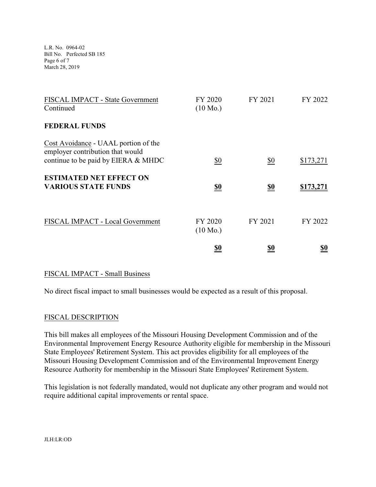L.R. No. 0964-02 Bill No. Perfected SB 185 Page 6 of 7 March 28, 2019

| FISCAL IMPACT - State Government<br>Continued                                                                   | FY 2020<br>$(10 \text{ Mo.})$ | FY 2021           | FY 2022          |
|-----------------------------------------------------------------------------------------------------------------|-------------------------------|-------------------|------------------|
| <b>FEDERAL FUNDS</b>                                                                                            |                               |                   |                  |
| Cost Avoidance - UAAL portion of the<br>employer contribution that would<br>continue to be paid by EIERA & MHDC | \$0                           | $\underline{\$0}$ | \$173,271        |
| <b>ESTIMATED NET EFFECT ON</b><br><b>VARIOUS STATE FUNDS</b>                                                    | <u>\$0</u>                    | <u>\$0</u>        | <u>\$173,271</u> |
| FISCAL IMPACT - Local Government                                                                                | FY 2020<br>$(10 \text{ Mo.})$ | FY 2021           | FY 2022          |
|                                                                                                                 | <u>\$0</u>                    | <u>\$0</u>        | <u>so</u>        |

## FISCAL IMPACT - Small Business

No direct fiscal impact to small businesses would be expected as a result of this proposal.

## FISCAL DESCRIPTION

This bill makes all employees of the Missouri Housing Development Commission and of the Environmental Improvement Energy Resource Authority eligible for membership in the Missouri State Employees' Retirement System. This act provides eligibility for all employees of the Missouri Housing Development Commission and of the Environmental Improvement Energy Resource Authority for membership in the Missouri State Employees' Retirement System.

This legislation is not federally mandated, would not duplicate any other program and would not require additional capital improvements or rental space.